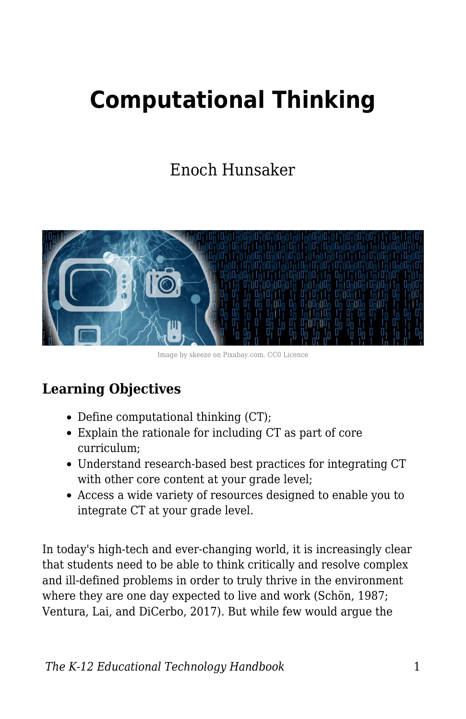# **Computational Thinking**

Enoch Hunsaker



Image by skeeze on Pixabay.com. CC0 Licence

## **Learning Objectives**

- Define computational thinking (CT);
- Explain the rationale for including CT as part of core curriculum;
- Understand research-based best practices for integrating CT with other core content at your grade level;
- Access a wide variety of resources designed to enable you to integrate CT at your grade level.

In today's high-tech and ever-changing world, it is increasingly clear that students need to be able to think critically and resolve complex and ill-defined problems in order to truly thrive in the environment where they are one day expected to live and work (Schön, 1987; Ventura, Lai, and DiCerbo, 2017). But while few would argue the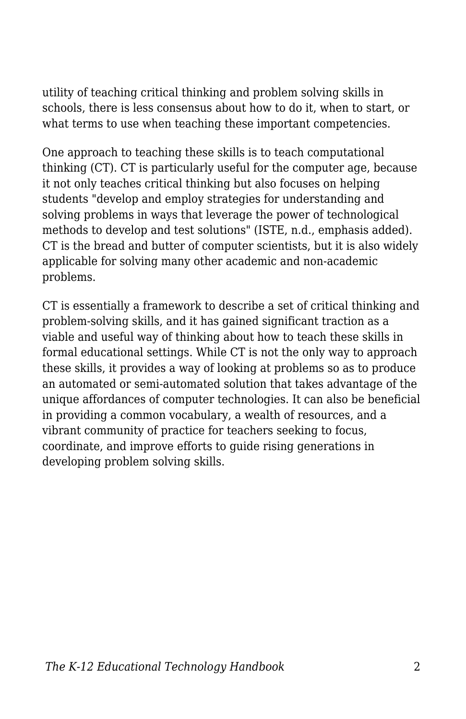utility of teaching critical thinking and problem solving skills in schools, there is less consensus about how to do it, when to start, or what terms to use when teaching these important competencies.

One approach to teaching these skills is to teach computational thinking (CT). CT is particularly useful for the computer age, because it not only teaches critical thinking but also focuses on helping students "develop and employ strategies for understanding and solving problems in ways that leverage the power of technological methods to develop and test solutions" (ISTE, n.d., emphasis added). CT is the bread and butter of computer scientists, but it is also widely applicable for solving many other academic and non-academic problems.

CT is essentially a framework to describe a set of critical thinking and problem-solving skills, and it has gained significant traction as a viable and useful way of thinking about how to teach these skills in formal educational settings. While CT is not the only way to approach these skills, it provides a way of looking at problems so as to produce an automated or semi-automated solution that takes advantage of the unique affordances of computer technologies. It can also be beneficial in providing a common vocabulary, a wealth of resources, and a vibrant community of practice for teachers seeking to focus, coordinate, and improve efforts to guide rising generations in developing problem solving skills.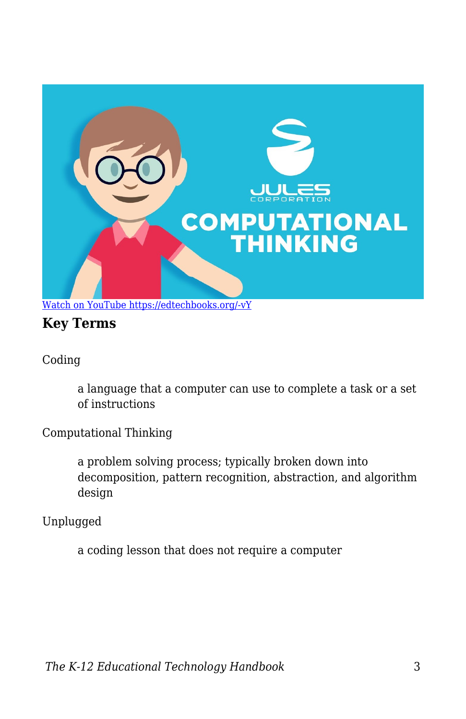

## **Key Terms**

Coding

a language that a computer can use to complete a task or a set of instructions

Computational Thinking

a problem solving process; typically broken down into decomposition, pattern recognition, abstraction, and algorithm design

Unplugged

a coding lesson that does not require a computer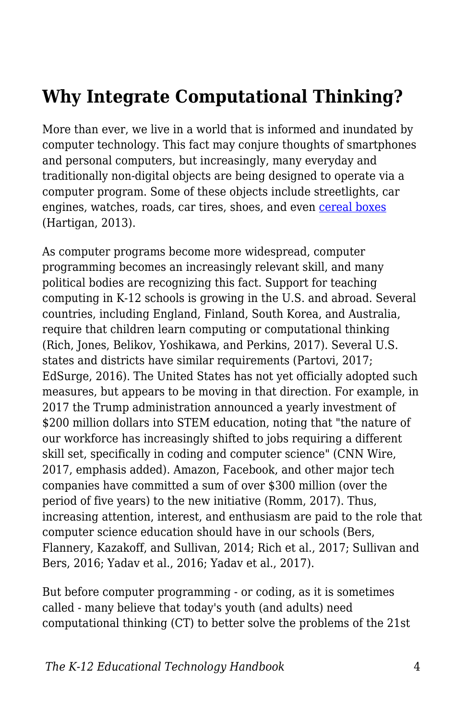## **Why Integrate Computational Thinking?**

More than ever, we live in a world that is informed and inundated by computer technology. This fact may conjure thoughts of smartphones and personal computers, but increasingly, many everyday and traditionally non-digital objects are being designed to operate via a computer program. Some of these objects include streetlights, car engines, watches, roads, car tires, shoes, and even [cereal boxes](https://www.youtube.com/watch?v=M0R5LPhLz_U&feature=player_embedded) (Hartigan, 2013).

As computer programs become more widespread, computer programming becomes an increasingly relevant skill, and many political bodies are recognizing this fact. Support for teaching computing in K-12 schools is growing in the U.S. and abroad. Several countries, including England, Finland, South Korea, and Australia, require that children learn computing or computational thinking (Rich, Jones, Belikov, Yoshikawa, and Perkins, 2017). Several U.S. states and districts have similar requirements (Partovi, 2017; EdSurge, 2016). The United States has not yet officially adopted such measures, but appears to be moving in that direction. For example, in 2017 the Trump administration announced a yearly investment of \$200 million dollars into STEM education, noting that "the nature of our workforce has increasingly shifted to jobs requiring a different skill set, specifically in coding and computer science" (CNN Wire, 2017, emphasis added). Amazon, Facebook, and other major tech companies have committed a sum of over \$300 million (over the period of five years) to the new initiative (Romm, 2017). Thus, increasing attention, interest, and enthusiasm are paid to the role that computer science education should have in our schools (Bers, Flannery, Kazakoff, and Sullivan, 2014; Rich et al., 2017; Sullivan and Bers, 2016; Yadav et al., 2016; Yadav et al., 2017).

But before computer programming - or coding, as it is sometimes called - many believe that today's youth (and adults) need computational thinking (CT) to better solve the problems of the 21st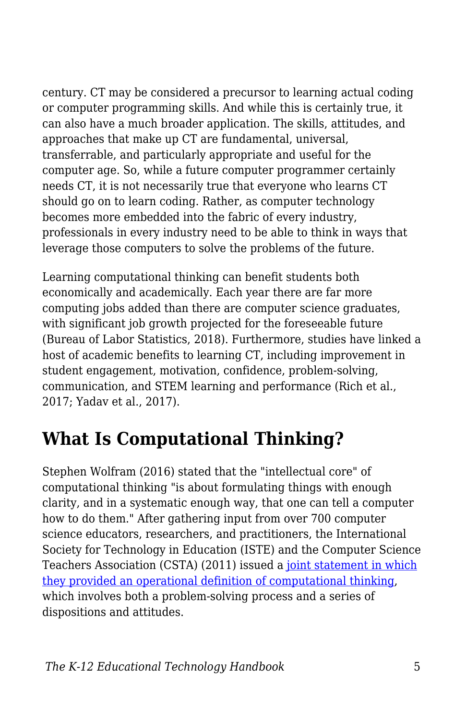century. CT may be considered a precursor to learning actual coding or computer programming skills. And while this is certainly true, it can also have a much broader application. The skills, attitudes, and approaches that make up CT are fundamental, universal, transferrable, and particularly appropriate and useful for the computer age. So, while a future computer programmer certainly needs CT, it is not necessarily true that everyone who learns CT should go on to learn coding. Rather, as computer technology becomes more embedded into the fabric of every industry, professionals in every industry need to be able to think in ways that leverage those computers to solve the problems of the future.

Learning computational thinking can benefit students both economically and academically. Each year there are far more computing jobs added than there are computer science graduates, with significant job growth projected for the foreseeable future (Bureau of Labor Statistics, 2018). Furthermore, studies have linked a host of academic benefits to learning CT, including improvement in student engagement, motivation, confidence, problem-solving, communication, and STEM learning and performance (Rich et al., 2017; Yadav et al., 2017).

## **What Is Computational Thinking?**

Stephen Wolfram (2016) stated that the "intellectual core" of computational thinking "is about formulating things with enough clarity, and in a systematic enough way, that one can tell a computer how to do them." After gathering input from over 700 computer science educators, researchers, and practitioners, the International Society for Technology in Education (ISTE) and the Computer Science Teachers Association (CSTA) (2011) issued a [joint statement in which](http://www.iste.org/docs/ct-documents/computational-thinking-operational-definition-flyer.pdf) [they provided an operational definition of computational thinking](http://www.iste.org/docs/ct-documents/computational-thinking-operational-definition-flyer.pdf), which involves both a problem-solving process and a series of dispositions and attitudes.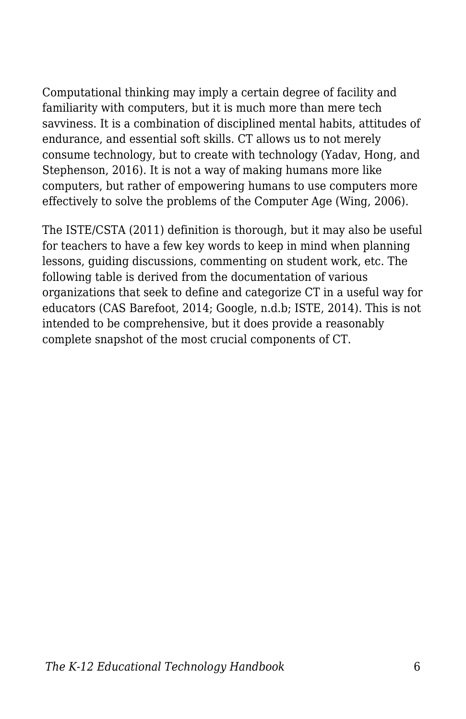Computational thinking may imply a certain degree of facility and familiarity with computers, but it is much more than mere tech savviness. It is a combination of disciplined mental habits, attitudes of endurance, and essential soft skills. CT allows us to not merely consume technology, but to create with technology (Yadav, Hong, and Stephenson, 2016). It is not a way of making humans more like computers, but rather of empowering humans to use computers more effectively to solve the problems of the Computer Age (Wing, 2006).

The ISTE/CSTA (2011) definition is thorough, but it may also be useful for teachers to have a few key words to keep in mind when planning lessons, guiding discussions, commenting on student work, etc. The following table is derived from the documentation of various organizations that seek to define and categorize CT in a useful way for educators (CAS Barefoot, 2014; Google, n.d.b; ISTE, 2014). This is not intended to be comprehensive, but it does provide a reasonably complete snapshot of the most crucial components of CT.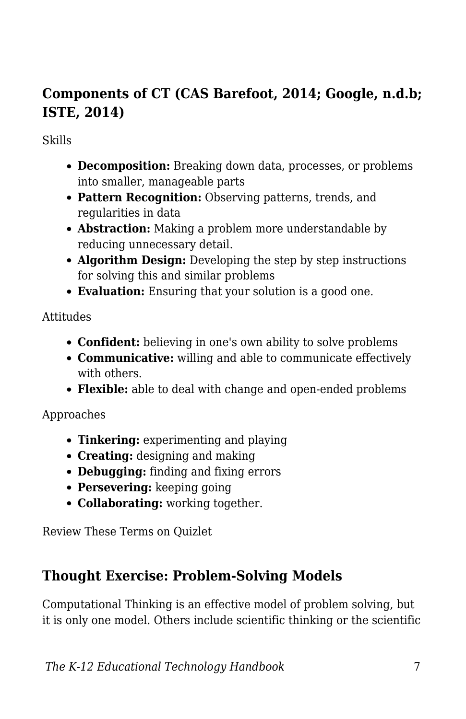## **Components of CT (CAS Barefoot, 2014; Google, n.d.b; ISTE, 2014)**

#### Skills

- **Decomposition:** Breaking down data, processes, or problems into smaller, manageable parts
- **Pattern Recognition:** Observing patterns, trends, and regularities in data
- **Abstraction:** Making a problem more understandable by reducing unnecessary detail.
- **Algorithm Design:** Developing the step by step instructions for solving this and similar problems
- **Evaluation:** Ensuring that your solution is a good one.

#### Attitudes

- **Confident:** believing in one's own ability to solve problems
- **Communicative:** willing and able to communicate effectively with others.
- **Flexible:** able to deal with change and open-ended problems

Approaches

- **Tinkering:** experimenting and playing
- **Creating:** designing and making
- **Debugging:** finding and fixing errors
- **Persevering:** keeping going
- **Collaborating:** working together.

Review These Terms on Quizlet

### **Thought Exercise: Problem-Solving Models**

Computational Thinking is an effective model of problem solving, but it is only one model. Others include scientific thinking or the scientific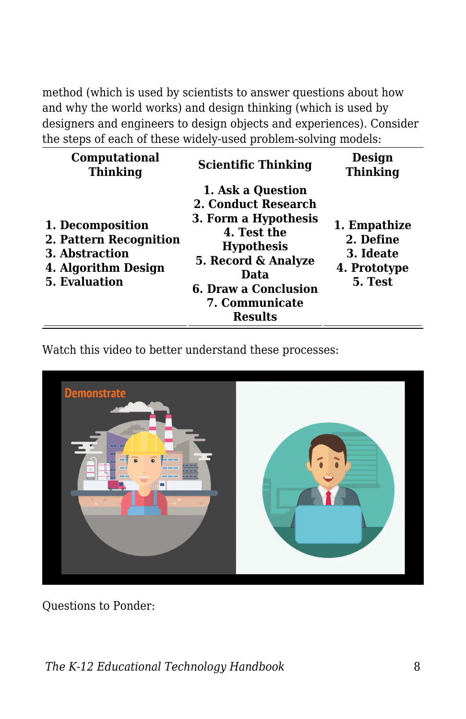method (which is used by scientists to answer questions about how and why the world works) and design thinking (which is used by designers and engineers to design objects and experiences). Consider the steps of each of these widely-used problem-solving models:

| Computational<br><b>Thinking</b>                                                                            | <b>Scientific Thinking</b>                                                                                                                                                                      | Design<br><b>Thinking</b>                                         |
|-------------------------------------------------------------------------------------------------------------|-------------------------------------------------------------------------------------------------------------------------------------------------------------------------------------------------|-------------------------------------------------------------------|
| 1. Decomposition<br>2. Pattern Recognition<br>3. Abstraction<br>4. Algorithm Design<br><b>5. Evaluation</b> | 1. Ask a Question<br>2. Conduct Research<br>3. Form a Hypothesis<br>4. Test the<br><b>Hypothesis</b><br>5. Record & Analyze<br>Data<br>6. Draw a Conclusion<br>7. Communicate<br><b>Results</b> | 1. Empathize<br>2. Define<br>3. Ideate<br>4. Prototype<br>5. Test |

Watch this video to better understand these processes:



Questions to Ponder: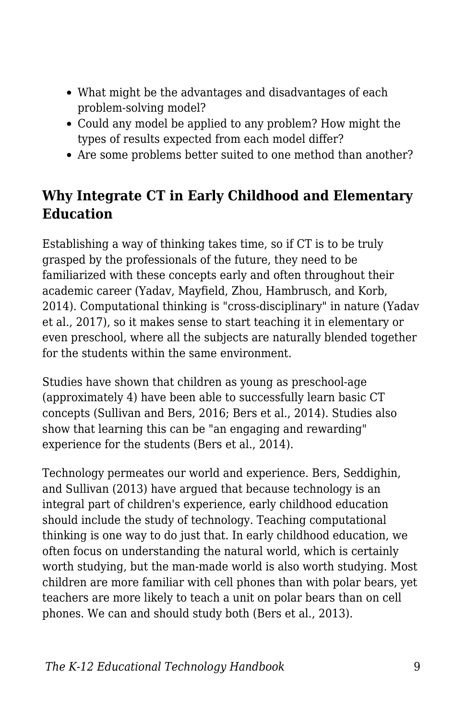- What might be the advantages and disadvantages of each problem-solving model?
- Could any model be applied to any problem? How might the types of results expected from each model differ?
- Are some problems better suited to one method than another?

## **Why Integrate CT in Early Childhood and Elementary Education**

Establishing a way of thinking takes time, so if CT is to be truly grasped by the professionals of the future, they need to be familiarized with these concepts early and often throughout their academic career (Yadav, Mayfield, Zhou, Hambrusch, and Korb, 2014). Computational thinking is "cross-disciplinary" in nature (Yadav et al., 2017), so it makes sense to start teaching it in elementary or even preschool, where all the subjects are naturally blended together for the students within the same environment.

Studies have shown that children as young as preschool-age (approximately 4) have been able to successfully learn basic CT concepts (Sullivan and Bers, 2016; Bers et al., 2014). Studies also show that learning this can be "an engaging and rewarding" experience for the students (Bers et al., 2014).

Technology permeates our world and experience. Bers, Seddighin, and Sullivan (2013) have argued that because technology is an integral part of children's experience, early childhood education should include the study of technology. Teaching computational thinking is one way to do just that. In early childhood education, we often focus on understanding the natural world, which is certainly worth studying, but the man-made world is also worth studying. Most children are more familiar with cell phones than with polar bears, yet teachers are more likely to teach a unit on polar bears than on cell phones. We can and should study both (Bers et al., 2013).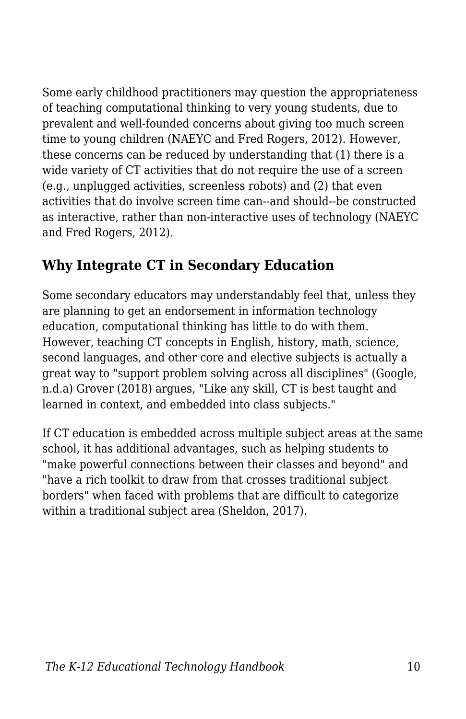Some early childhood practitioners may question the appropriateness of teaching computational thinking to very young students, due to prevalent and well-founded concerns about giving too much screen time to young children (NAEYC and Fred Rogers, 2012). However, these concerns can be reduced by understanding that (1) there is a wide variety of CT activities that do not require the use of a screen (e.g., unplugged activities, screenless robots) and (2) that even activities that do involve screen time can--and should--be constructed as interactive, rather than non-interactive uses of technology (NAEYC and Fred Rogers, 2012).

## **Why Integrate CT in Secondary Education**

Some secondary educators may understandably feel that, unless they are planning to get an endorsement in information technology education, computational thinking has little to do with them. However, teaching CT concepts in English, history, math, science, second languages, and other core and elective subjects is actually a great way to "support problem solving across all disciplines" (Google, n.d.a) Grover (2018) argues, "Like any skill, CT is best taught and learned in context, and embedded into class subjects."

If CT education is embedded across multiple subject areas at the same school, it has additional advantages, such as helping students to "make powerful connections between their classes and beyond" and "have a rich toolkit to draw from that crosses traditional subject borders" when faced with problems that are difficult to categorize within a traditional subject area (Sheldon, 2017).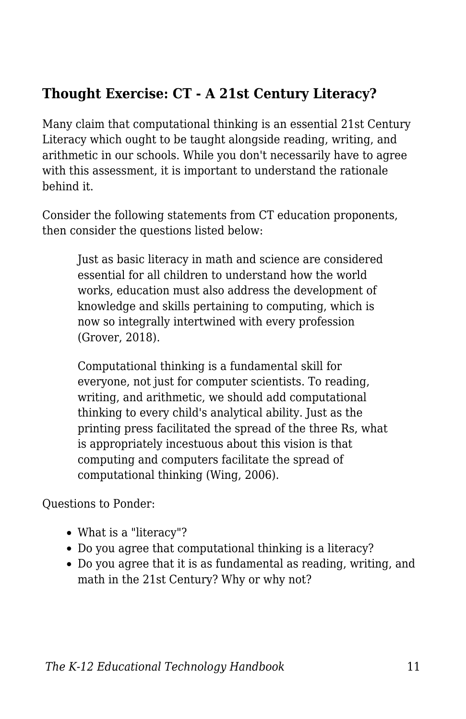## **Thought Exercise: CT - A 21st Century Literacy?**

Many claim that computational thinking is an essential 21st Century Literacy which ought to be taught alongside reading, writing, and arithmetic in our schools. While you don't necessarily have to agree with this assessment, it is important to understand the rationale behind it.

Consider the following statements from CT education proponents, then consider the questions listed below:

Just as basic literacy in math and science are considered essential for all children to understand how the world works, education must also address the development of knowledge and skills pertaining to computing, which is now so integrally intertwined with every profession (Grover, 2018).

Computational thinking is a fundamental skill for everyone, not just for computer scientists. To reading, writing, and arithmetic, we should add computational thinking to every child's analytical ability. Just as the printing press facilitated the spread of the three Rs, what is appropriately incestuous about this vision is that computing and computers facilitate the spread of computational thinking (Wing, 2006).

Questions to Ponder:

- What is a "literacy"?
- Do you agree that computational thinking is a literacy?
- Do you agree that it is as fundamental as reading, writing, and math in the 21st Century? Why or why not?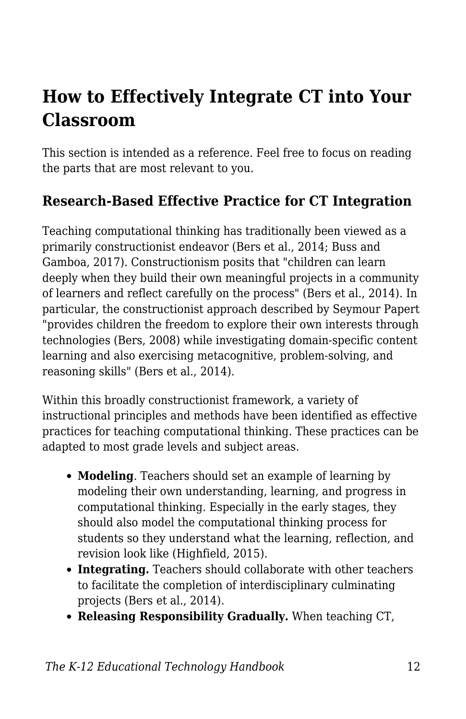## **How to Effectively Integrate CT into Your Classroom**

This section is intended as a reference. Feel free to focus on reading the parts that are most relevant to you.

### **Research-Based Effective Practice for CT Integration**

Teaching computational thinking has traditionally been viewed as a primarily constructionist endeavor (Bers et al., 2014; Buss and Gamboa, 2017). Constructionism posits that "children can learn deeply when they build their own meaningful projects in a community of learners and reflect carefully on the process" (Bers et al., 2014). In particular, the constructionist approach described by Seymour Papert "provides children the freedom to explore their own interests through technologies (Bers, 2008) while investigating domain-specific content learning and also exercising metacognitive, problem-solving, and reasoning skills" (Bers et al., 2014).

Within this broadly constructionist framework, a variety of instructional principles and methods have been identified as effective practices for teaching computational thinking. These practices can be adapted to most grade levels and subject areas.

- **Modeling**. Teachers should set an example of learning by modeling their own understanding, learning, and progress in computational thinking. Especially in the early stages, they should also model the computational thinking process for students so they understand what the learning, reflection, and revision look like (Highfield, 2015).
- **Integrating.** Teachers should collaborate with other teachers to facilitate the completion of interdisciplinary culminating projects (Bers et al., 2014).
- **Releasing Responsibility Gradually.** When teaching CT,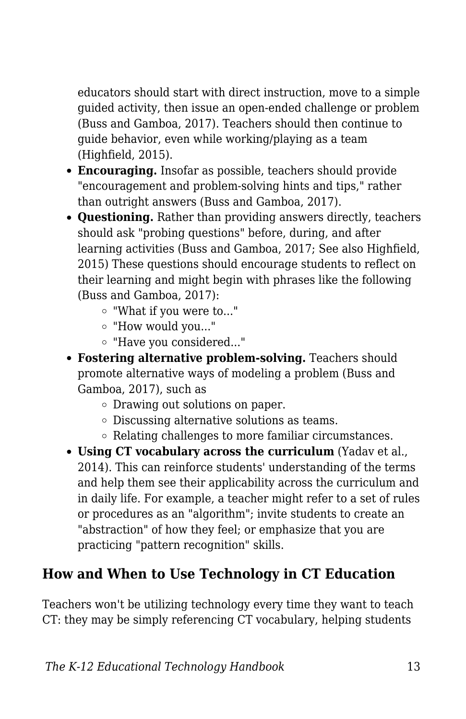educators should start with direct instruction, move to a simple guided activity, then issue an open-ended challenge or problem (Buss and Gamboa, 2017). Teachers should then continue to guide behavior, even while working/playing as a team (Highfield, 2015).

- **Encouraging.** Insofar as possible, teachers should provide "encouragement and problem-solving hints and tips," rather than outright answers (Buss and Gamboa, 2017).
- **Questioning.** Rather than providing answers directly, teachers should ask "probing questions" before, during, and after learning activities (Buss and Gamboa, 2017; See also Highfield, 2015) These questions should encourage students to reflect on their learning and might begin with phrases like the following (Buss and Gamboa, 2017):
	- "What if you were to..."
	- "How would you..."
	- "Have you considered..."
- **Fostering alternative problem-solving.** Teachers should promote alternative ways of modeling a problem (Buss and Gamboa, 2017), such as
	- Drawing out solutions on paper.
	- Discussing alternative solutions as teams.
	- Relating challenges to more familiar circumstances.
- **Using CT vocabulary across the curriculum** (Yadav et al., 2014). This can reinforce students' understanding of the terms and help them see their applicability across the curriculum and in daily life. For example, a teacher might refer to a set of rules or procedures as an "algorithm"; invite students to create an "abstraction" of how they feel; or emphasize that you are practicing "pattern recognition" skills.

## **How and When to Use Technology in CT Education**

Teachers won't be utilizing technology every time they want to teach CT: they may be simply referencing CT vocabulary, helping students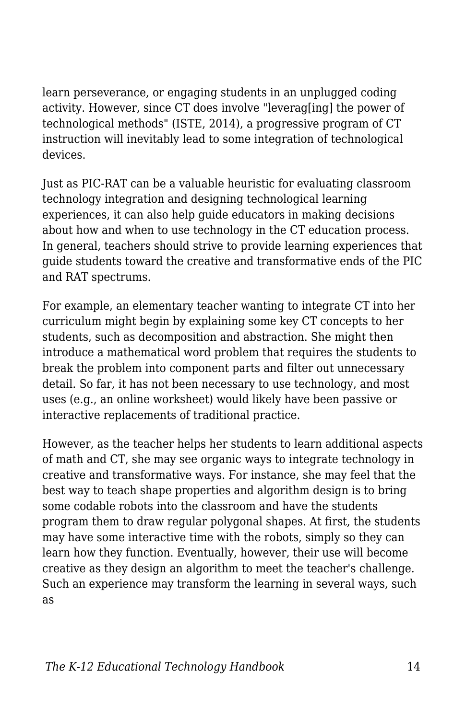learn perseverance, or engaging students in an unplugged coding activity. However, since CT does involve "leverag[ing] the power of technological methods" (ISTE, 2014), a progressive program of CT instruction will inevitably lead to some integration of technological devices.

Just as PIC-RAT can be a valuable heuristic for evaluating classroom technology integration and designing technological learning experiences, it can also help guide educators in making decisions about how and when to use technology in the CT education process. In general, teachers should strive to provide learning experiences that guide students toward the creative and transformative ends of the PIC and RAT spectrums.

For example, an elementary teacher wanting to integrate CT into her curriculum might begin by explaining some key CT concepts to her students, such as decomposition and abstraction. She might then introduce a mathematical word problem that requires the students to break the problem into component parts and filter out unnecessary detail. So far, it has not been necessary to use technology, and most uses (e.g., an online worksheet) would likely have been passive or interactive replacements of traditional practice.

However, as the teacher helps her students to learn additional aspects of math and CT, she may see organic ways to integrate technology in creative and transformative ways. For instance, she may feel that the best way to teach shape properties and algorithm design is to bring some codable robots into the classroom and have the students program them to draw regular polygonal shapes. At first, the students may have some interactive time with the robots, simply so they can learn how they function. Eventually, however, their use will become creative as they design an algorithm to meet the teacher's challenge. Such an experience may transform the learning in several ways, such as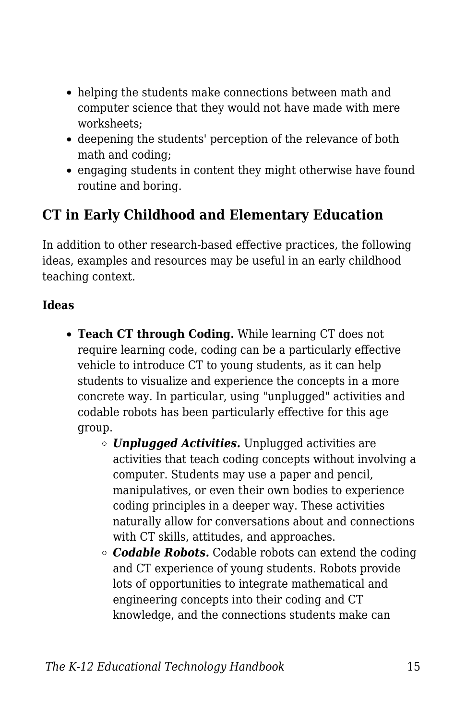- helping the students make connections between math and computer science that they would not have made with mere worksheets;
- deepening the students' perception of the relevance of both math and coding;
- engaging students in content they might otherwise have found routine and boring.

### **CT in Early Childhood and Elementary Education**

In addition to other research-based effective practices, the following ideas, examples and resources may be useful in an early childhood teaching context.

#### **Ideas**

- **Teach CT through Coding.** While learning CT does not require learning code, coding can be a particularly effective vehicle to introduce CT to young students, as it can help students to visualize and experience the concepts in a more concrete way. In particular, using "unplugged" activities and codable robots has been particularly effective for this age group.
	- *Unplugged Activities.* Unplugged activities are activities that teach coding concepts without involving a computer. Students may use a paper and pencil, manipulatives, or even their own bodies to experience coding principles in a deeper way. These activities naturally allow for conversations about and connections with CT skills, attitudes, and approaches.
	- *Codable Robots.* Codable robots can extend the coding and CT experience of young students. Robots provide lots of opportunities to integrate mathematical and engineering concepts into their coding and CT knowledge, and the connections students make can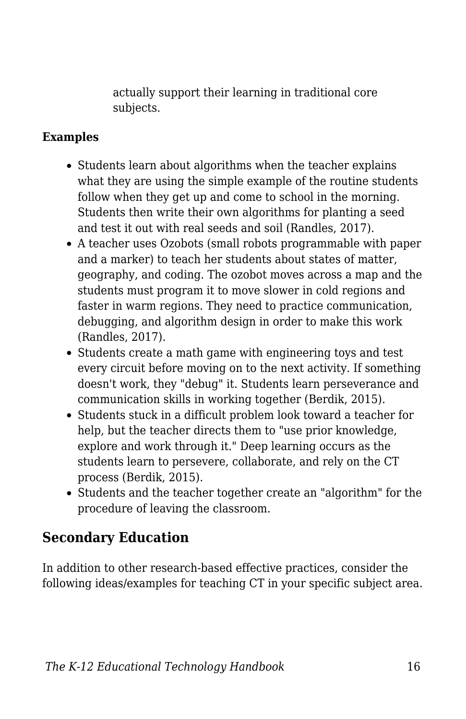actually support their learning in traditional core subjects.

#### **Examples**

- Students learn about algorithms when the teacher explains what they are using the simple example of the routine students follow when they get up and come to school in the morning. Students then write their own algorithms for planting a seed and test it out with real seeds and soil (Randles, 2017).
- A teacher uses Ozobots (small robots programmable with paper and a marker) to teach her students about states of matter, geography, and coding. The ozobot moves across a map and the students must program it to move slower in cold regions and faster in warm regions. They need to practice communication, debugging, and algorithm design in order to make this work (Randles, 2017).
- Students create a math game with engineering toys and test every circuit before moving on to the next activity. If something doesn't work, they "debug" it. Students learn perseverance and communication skills in working together (Berdik, 2015).
- Students stuck in a difficult problem look toward a teacher for help, but the teacher directs them to "use prior knowledge, explore and work through it." Deep learning occurs as the students learn to persevere, collaborate, and rely on the CT process (Berdik, 2015).
- Students and the teacher together create an "algorithm" for the procedure of leaving the classroom.

### **Secondary Education**

In addition to other research-based effective practices, consider the following ideas/examples for teaching CT in your specific subject area.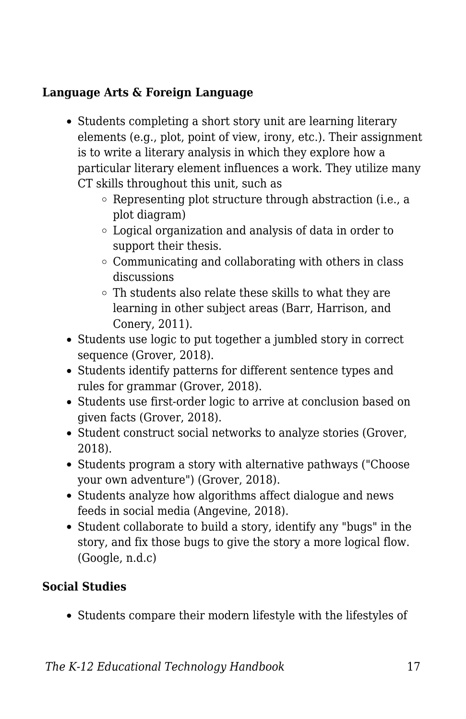#### **Language Arts & Foreign Language**

- Students completing a short story unit are learning literary elements (e.g., plot, point of view, irony, etc.). Their assignment is to write a literary analysis in which they explore how a particular literary element influences a work. They utilize many CT skills throughout this unit, such as
	- Representing plot structure through abstraction (i.e., a plot diagram)
	- Logical organization and analysis of data in order to support their thesis.
	- $\circ$  Communicating and collaborating with others in class discussions
	- Th students also relate these skills to what they are learning in other subject areas (Barr, Harrison, and Conery, 2011).
- Students use logic to put together a jumbled story in correct sequence (Grover, 2018).
- Students identify patterns for different sentence types and rules for grammar (Grover, 2018).
- Students use first-order logic to arrive at conclusion based on given facts (Grover, 2018).
- Student construct social networks to analyze stories (Grover, 2018).
- Students program a story with alternative pathways ("Choose your own adventure") (Grover, 2018).
- Students analyze how algorithms affect dialogue and news feeds in social media (Angevine, 2018).
- Student collaborate to build a story, identify any "bugs" in the story, and fix those bugs to give the story a more logical flow. (Google, n.d.c)

#### **Social Studies**

• Students compare their modern lifestyle with the lifestyles of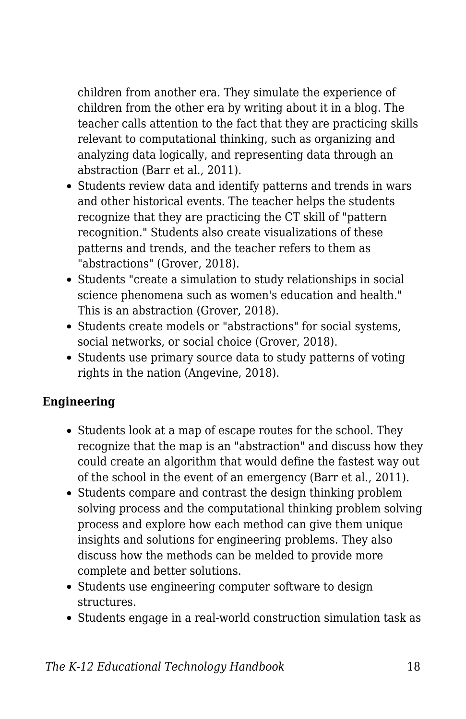children from another era. They simulate the experience of children from the other era by writing about it in a blog. The teacher calls attention to the fact that they are practicing skills relevant to computational thinking, such as organizing and analyzing data logically, and representing data through an abstraction (Barr et al., 2011).

- Students review data and identify patterns and trends in wars and other historical events. The teacher helps the students recognize that they are practicing the CT skill of "pattern recognition." Students also create visualizations of these patterns and trends, and the teacher refers to them as "abstractions" (Grover, 2018).
- Students "create a simulation to study relationships in social science phenomena such as women's education and health." This is an abstraction (Grover, 2018).
- Students create models or "abstractions" for social systems, social networks, or social choice (Grover, 2018).
- Students use primary source data to study patterns of voting rights in the nation (Angevine, 2018).

#### **Engineering**

- Students look at a map of escape routes for the school. They recognize that the map is an "abstraction" and discuss how they could create an algorithm that would define the fastest way out of the school in the event of an emergency (Barr et al., 2011).
- Students compare and contrast the design thinking problem solving process and the computational thinking problem solving process and explore how each method can give them unique insights and solutions for engineering problems. They also discuss how the methods can be melded to provide more complete and better solutions.
- Students use engineering computer software to design structures.
- Students engage in a real-world construction simulation task as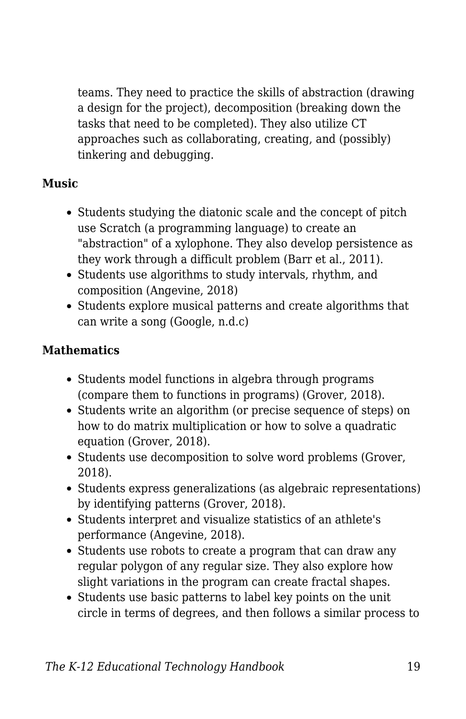teams. They need to practice the skills of abstraction (drawing a design for the project), decomposition (breaking down the tasks that need to be completed). They also utilize CT approaches such as collaborating, creating, and (possibly) tinkering and debugging.

#### **Music**

- Students studying the diatonic scale and the concept of pitch use Scratch (a programming language) to create an "abstraction" of a xylophone. They also develop persistence as they work through a difficult problem (Barr et al., 2011).
- Students use algorithms to study intervals, rhythm, and composition (Angevine, 2018)
- Students explore musical patterns and create algorithms that can write a song (Google, n.d.c)

#### **Mathematics**

- Students model functions in algebra through programs (compare them to functions in programs) (Grover, 2018).
- Students write an algorithm (or precise sequence of steps) on how to do matrix multiplication or how to solve a quadratic equation (Grover, 2018).
- Students use decomposition to solve word problems (Grover, 2018).
- Students express generalizations (as algebraic representations) by identifying patterns (Grover, 2018).
- Students interpret and visualize statistics of an athlete's performance (Angevine, 2018).
- Students use robots to create a program that can draw any regular polygon of any regular size. They also explore how slight variations in the program can create fractal shapes.
- Students use basic patterns to label key points on the unit circle in terms of degrees, and then follows a similar process to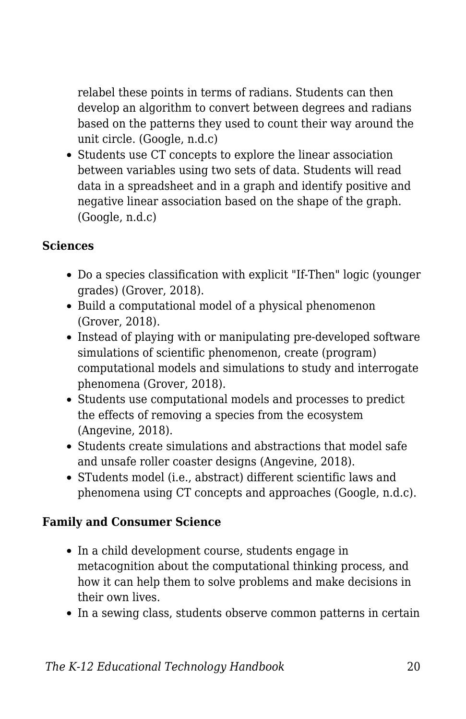relabel these points in terms of radians. Students can then develop an algorithm to convert between degrees and radians based on the patterns they used to count their way around the unit circle. (Google, n.d.c)

• Students use CT concepts to explore the linear association between variables using two sets of data. Students will read data in a spreadsheet and in a graph and identify positive and negative linear association based on the shape of the graph. (Google, n.d.c)

#### **Sciences**

- Do a species classification with explicit "If-Then" logic (younger grades) (Grover, 2018).
- Build a computational model of a physical phenomenon (Grover, 2018).
- Instead of playing with or manipulating pre-developed software simulations of scientific phenomenon, create (program) computational models and simulations to study and interrogate phenomena (Grover, 2018).
- Students use computational models and processes to predict the effects of removing a species from the ecosystem (Angevine, 2018).
- Students create simulations and abstractions that model safe and unsafe roller coaster designs (Angevine, 2018).
- STudents model (i.e., abstract) different scientific laws and phenomena using CT concepts and approaches (Google, n.d.c).

#### **Family and Consumer Science**

- In a child development course, students engage in metacognition about the computational thinking process, and how it can help them to solve problems and make decisions in their own lives.
- In a sewing class, students observe common patterns in certain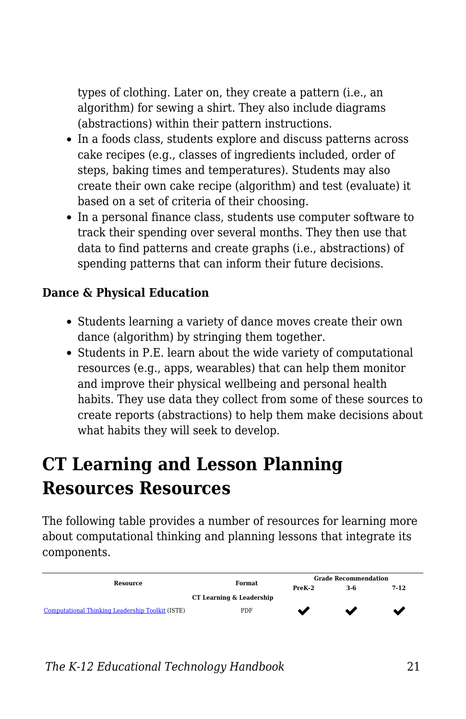types of clothing. Later on, they create a pattern (i.e., an algorithm) for sewing a shirt. They also include diagrams (abstractions) within their pattern instructions.

- In a foods class, students explore and discuss patterns across cake recipes (e.g., classes of ingredients included, order of steps, baking times and temperatures). Students may also create their own cake recipe (algorithm) and test (evaluate) it based on a set of criteria of their choosing.
- In a personal finance class, students use computer software to track their spending over several months. They then use that data to find patterns and create graphs (i.e., abstractions) of spending patterns that can inform their future decisions.

#### **Dance & Physical Education**

- Students learning a variety of dance moves create their own dance (algorithm) by stringing them together.
- Students in P.E. learn about the wide variety of computational resources (e.g., apps, wearables) that can help them monitor and improve their physical wellbeing and personal health habits. They use data they collect from some of these sources to create reports (abstractions) to help them make decisions about what habits they will seek to develop.

## **CT Learning and Lesson Planning Resources Resources**

The following table provides a number of resources for learning more about computational thinking and planning lessons that integrate its components.

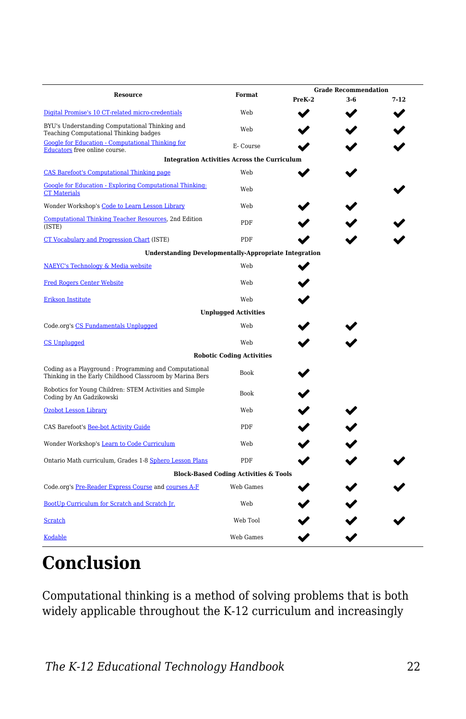| Resource                                                                                                          | Format                                              | <b>Grade Recommendation</b> |       |          |
|-------------------------------------------------------------------------------------------------------------------|-----------------------------------------------------|-----------------------------|-------|----------|
|                                                                                                                   |                                                     | PreK-2                      | $3-6$ | $7 - 12$ |
| Digital Promise's 10 CT-related micro-credentials                                                                 | Web                                                 |                             |       |          |
| BYU's Understanding Computational Thinking and<br>Teaching Computational Thinking badges                          | Web                                                 |                             |       |          |
| <b>Google for Education - Computational Thinking for</b><br>Educators free online course.                         | E- Course                                           |                             |       |          |
|                                                                                                                   | <b>Integration Activities Across the Curriculum</b> |                             |       |          |
| <b>CAS Barefoot's Computational Thinking page</b>                                                                 | Web                                                 |                             |       |          |
| Google for Education - Exploring Computational Thinking:<br><b>CT Materials</b>                                   | Web                                                 |                             |       |          |
| Wonder Workshop's Code to Learn Lesson Library                                                                    | Web                                                 |                             |       |          |
| Computational Thinking Teacher Resources, 2nd Edition<br>(ISTE)                                                   | PDF                                                 |                             |       |          |
| CT Vocabulary and Progression Chart (ISTE)                                                                        | PDF                                                 |                             |       |          |
| <b>Understanding Developmentally-Appropriate Integration</b>                                                      |                                                     |                             |       |          |
| NAEYC's Technology & Media website                                                                                | Web                                                 |                             |       |          |
| <b>Fred Rogers Center Website</b>                                                                                 | Web                                                 |                             |       |          |
| <b>Erikson Institute</b>                                                                                          | Web                                                 |                             |       |          |
|                                                                                                                   | <b>Unplugged Activities</b>                         |                             |       |          |
| Code.org's CS Fundamentals Unplugged                                                                              | Web                                                 |                             |       |          |
| <b>CS Unplugged</b>                                                                                               | Web                                                 |                             |       |          |
|                                                                                                                   | <b>Robotic Coding Activities</b>                    |                             |       |          |
| Coding as a Playground: Programming and Computational<br>Thinking in the Early Childhood Classroom by Marina Bers | Book                                                |                             |       |          |
| Robotics for Young Children: STEM Activities and Simple<br>Coding by An Gadzikowski                               | <b>Book</b>                                         |                             |       |          |
| <b>Ozobot Lesson Library</b>                                                                                      | Web                                                 |                             |       |          |
| CAS Barefoot's Bee-bot Activity Guide                                                                             | PDF                                                 |                             |       |          |
| Wonder Workshop's Learn to Code Curriculum                                                                        | Web                                                 |                             |       |          |
| Ontario Math curriculum, Grades 1-8 Sphero Lesson Plans                                                           | PDF                                                 |                             |       |          |
|                                                                                                                   | <b>Block-Based Coding Activities &amp; Tools</b>    |                             |       |          |
| Code.org's Pre-Reader Express Course and courses A-F                                                              | Web Games                                           |                             |       |          |
| BootUp Curriculum for Scratch and Scratch Jr.                                                                     | Web                                                 |                             |       |          |
| Scratch                                                                                                           | Web Tool                                            |                             |       |          |
| <b>Kodable</b>                                                                                                    | Web Games                                           |                             |       |          |

## **Conclusion**

Computational thinking is a method of solving problems that is both widely applicable throughout the K-12 curriculum and increasingly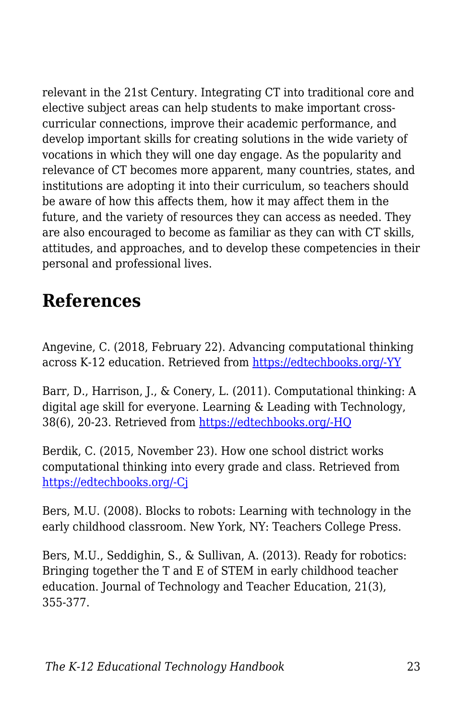relevant in the 21st Century. Integrating CT into traditional core and elective subject areas can help students to make important crosscurricular connections, improve their academic performance, and develop important skills for creating solutions in the wide variety of vocations in which they will one day engage. As the popularity and relevance of CT becomes more apparent, many countries, states, and institutions are adopting it into their curriculum, so teachers should be aware of how this affects them, how it may affect them in the future, and the variety of resources they can access as needed. They are also encouraged to become as familiar as they can with CT skills, attitudes, and approaches, and to develop these competencies in their personal and professional lives.

## **References**

Angevine, C. (2018, February 22). Advancing computational thinking across K-12 education. Retrieved from [https://edtechbooks.org/-YY](http://www.gettingsmart.com/2018/02/advancing-computational-thinking-across-k-12-education/)

Barr, D., Harrison, J., & Conery, L. (2011). Computational thinking: A digital age skill for everyone. Learning & Leading with Technology, 38(6), 20-23. Retrieved from [https://edtechbooks.org/-HQ](https://files.eric.ed.gov/fulltext/EJ918910.pdf)

Berdik, C. (2015, November 23). How one school district works computational thinking into every grade and class. Retrieved from [https://edtechbooks.org/-Cj](http://hechingerreport.org/how-one-school-district-works-computational-thinking-into-every-grade-and-class/)

Bers, M.U. (2008). Blocks to robots: Learning with technology in the early childhood classroom. New York, NY: Teachers College Press.

Bers, M.U., Seddighin, S., & Sullivan, A. (2013). Ready for robotics: Bringing together the T and E of STEM in early childhood teacher education. Journal of Technology and Teacher Education, 21(3), 355-377.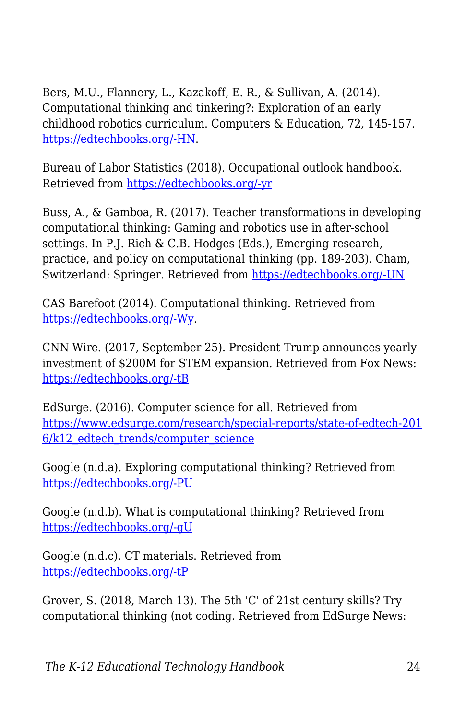Bers, M.U., Flannery, L., Kazakoff, E. R., & Sullivan, A. (2014). Computational thinking and tinkering?: Exploration of an early childhood robotics curriculum. Computers & Education, 72, 145-157. [https://edtechbooks.org/-HN](https://doi.org/10.1016/j.compedu.2013.10.020).

Bureau of Labor Statistics (2018). Occupational outlook handbook. Retrieved from [https://edtechbooks.org/-yr](https://www.bls.gov/ooh/computer-and-information-technology/home.htm)

Buss, A., & Gamboa, R. (2017). Teacher transformations in developing computational thinking: Gaming and robotics use in after-school settings. In P.J. Rich & C.B. Hodges (Eds.), Emerging research, practice, and policy on computational thinking (pp. 189-203). Cham, Switzerland: Springer. Retrieved from [https://edtechbooks.org/-UN](http://sci-hub.cc/downloads/1d8d/10.1007@978-3-319-52691-1.pdf)

CAS Barefoot (2014). Computational thinking. Retrieved from [https://edtechbooks.org/-Wy.](https://barefootcas.org.uk/barefoot-primary-computing-resources/concepts/computational-thinking/)

CNN Wire. (2017, September 25). President Trump announces yearly investment of \$200M for STEM expansion. Retrieved from Fox News: [https://edtechbooks.org/-tB](http://fox59.com/2017/09/25/president-trump-makes-jobs-announcement/)

EdSurge. (2016). Computer science for all. Retrieved from [https://www.edsurge.com/research/special-reports/state-of-edtech-201](https://www.edsurge.com/research/special-reports/state-of-edtech-2016/k12_edtech_trends/computer_science) 6/k12 edtech trends/computer science

Google (n.d.a). Exploring computational thinking? Retrieved from [https://edtechbooks.org/-PU](https://edu.google.com/resources/programs/exploring-computational-thinking/)

Google (n.d.b). What is computational thinking? Retrieved from [https://edtechbooks.org/-gU](https://computationalthinkingcourse.withgoogle.com/unit?lesson=8&unit=1)

Google (n.d.c). CT materials. Retrieved from [https://edtechbooks.org/-tP](https://edu.google.com/resources/programs/exploring-computational-thinking/#!ct-materials)

Grover, S. (2018, March 13). The 5th 'C' of 21st century skills? Try computational thinking (not coding. Retrieved from EdSurge News: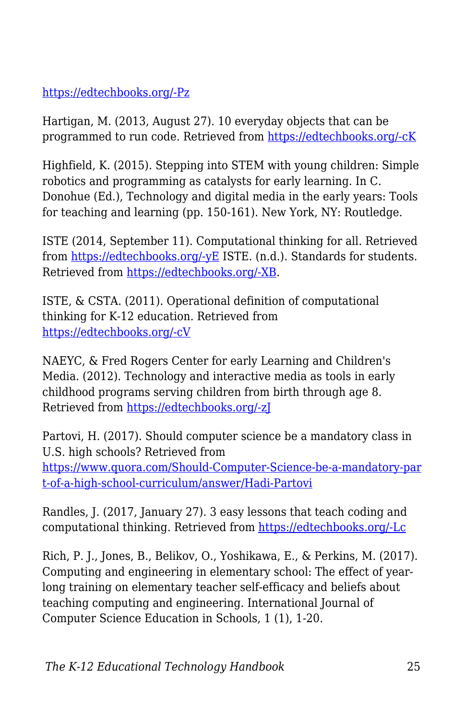#### [https://edtechbooks.org/-Pz](https://www.edsurge.com/news/2018-02-25-the-5th-c-of-21st-century-skills-try-computational-thinking-not-coding)

Hartigan, M. (2013, August 27). 10 everyday objects that can be programmed to run code. Retrieved from [https://edtechbooks.org/-cK](https://www.fastcompany.com/3016427/10-everyday-objects-that-can-be-programmed-to-run-code)

Highfield, K. (2015). Stepping into STEM with young children: Simple robotics and programming as catalysts for early learning. In C. Donohue (Ed.), Technology and digital media in the early years: Tools for teaching and learning (pp. 150-161). New York, NY: Routledge.

ISTE (2014, September 11). Computational thinking for all. Retrieved from [https://edtechbooks.org/-yE](https://www.iste.org/explore/articledetail?articleid=152) ISTE. (n.d.). Standards for students. Retrieved from [https://edtechbooks.org/-XB](https://www.iste.org/standards/for-students).

ISTE, & CSTA. (2011). Operational definition of computational thinking for K-12 education. Retrieved from [https://edtechbooks.org/-cV](http://www.iste.org/docs/ct-documents/computational-thinking-operational-definition-flyer.pdf)

NAEYC, & Fred Rogers Center for early Learning and Children's Media. (2012). Technology and interactive media as tools in early childhood programs serving children from birth through age 8. Retrieved from [https://edtechbooks.org/-zJ](https://www.naeyc.org/sites/default/files/globally-shared/downloads/PDFs/resources/topics/PS_technology_WEB.pdf)

Partovi, H. (2017). Should computer science be a mandatory class in U.S. high schools? Retrieved from [https://www.quora.com/Should-Computer-Science-be-a-mandatory-par](https://www.quora.com/Should-Computer-Science-be-a-mandatory-part-of-a-high-school-curriculum/answer/Hadi-Partovi) [t-of-a-high-school-curriculum/answer/Hadi-Partovi](https://www.quora.com/Should-Computer-Science-be-a-mandatory-part-of-a-high-school-curriculum/answer/Hadi-Partovi)

Randles, J. (2017, January 27). 3 easy lessons that teach coding and computational thinking. Retrieved from [https://edtechbooks.org/-Lc](https://www.iste.org/explore/articleDetail?articleid=894&category=In-the-classroom&article=)

Rich, P. J., Jones, B., Belikov, O., Yoshikawa, E., & Perkins, M. (2017). Computing and engineering in elementary school: The effect of yearlong training on elementary teacher self-efficacy and beliefs about teaching computing and engineering. International Journal of Computer Science Education in Schools, 1 (1), 1-20.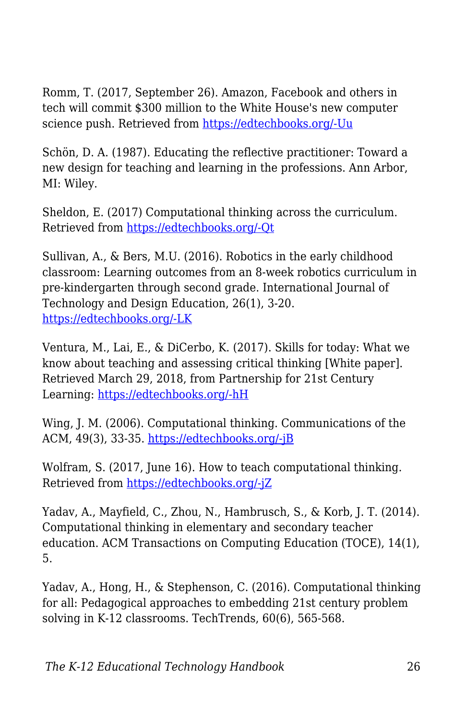Romm, T. (2017, September 26). Amazon, Facebook and others in tech will commit \$300 million to the White House's new computer science push. Retrieved from [https://edtechbooks.org/-Uu](https://www.recode.net/2017/9/26/16364662/amazon-facebook-google-tech-300-million-donald-trump-ivanka-computer-science)

Schön, D. A. (1987). Educating the reflective practitioner: Toward a new design for teaching and learning in the professions. Ann Arbor, MI: Wiley.

Sheldon, E. (2017) Computational thinking across the curriculum. Retrieved from [https://edtechbooks.org/-Qt](https://www.edutopia.org/blog/computational-thinking-across-the-curriculum-eli-sheldon)

Sullivan, A., & Bers, M.U. (2016). Robotics in the early childhood classroom: Learning outcomes from an 8-week robotics curriculum in pre-kindergarten through second grade. International Journal of Technology and Design Education, 26(1), 3-20. [https://edtechbooks.org/-LK](https://doi.org/10.1007/s10798-015-9304-5)

Ventura, M., Lai, E., & DiCerbo, K. (2017). Skills for today: What we know about teaching and assessing critical thinking [White paper]. Retrieved March 29, 2018, from Partnership for 21st Century Learning: [https://edtechbooks.org/-hH](http://www.p21.org/storage/documents/Skills_For_Today_Series-Pearson/White_Paper_-_P21_-_Skills_for_Today-What_We_Know_about_Teaching_and_Assessing_Critical_Thinking_v5.pdf)

Wing, J. M. (2006). Computational thinking. Communications of the ACM, 49(3), 33-35. [https://edtechbooks.org/-jB](https://doi.org/10.1145/1118178.1118215)

Wolfram, S. (2017, June 16). How to teach computational thinking. Retrieved from [https://edtechbooks.org/-jZ](https://www.wired.com/2016/09/how-to-teach-computational-thinking/)

Yadav, A., Mayfield, C., Zhou, N., Hambrusch, S., & Korb, J. T. (2014). Computational thinking in elementary and secondary teacher education. ACM Transactions on Computing Education (TOCE), 14(1), 5.

Yadav, A., Hong, H., & Stephenson, C. (2016). Computational thinking for all: Pedagogical approaches to embedding 21st century problem solving in K-12 classrooms. TechTrends, 60(6), 565-568.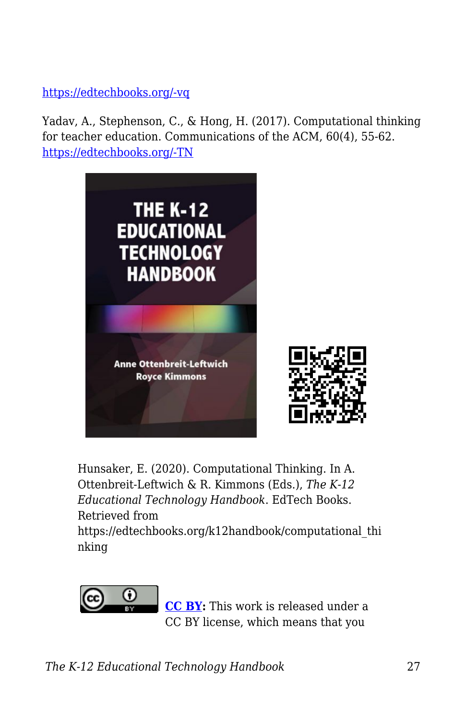#### [https://edtechbooks.org/-vq](https://doi.org/10.1007/s11528-016-0087-7)

Yadav, A., Stephenson, C., & Hong, H. (2017). Computational thinking for teacher education. Communications of the ACM, 60(4), 55-62. [https://edtechbooks.org/-TN](https://doi.org/10.1145/2994591)



Hunsaker, E. (2020). Computational Thinking. In A. Ottenbreit-Leftwich & R. Kimmons (Eds.), *The K-12 Educational Technology Handbook*. EdTech Books. Retrieved from https://edtechbooks.org/k12handbook/computational\_thi nking



**[CC BY:](https://creativecommons.org/licenses/by/4.0)** This work is released under a CC BY license, which means that you